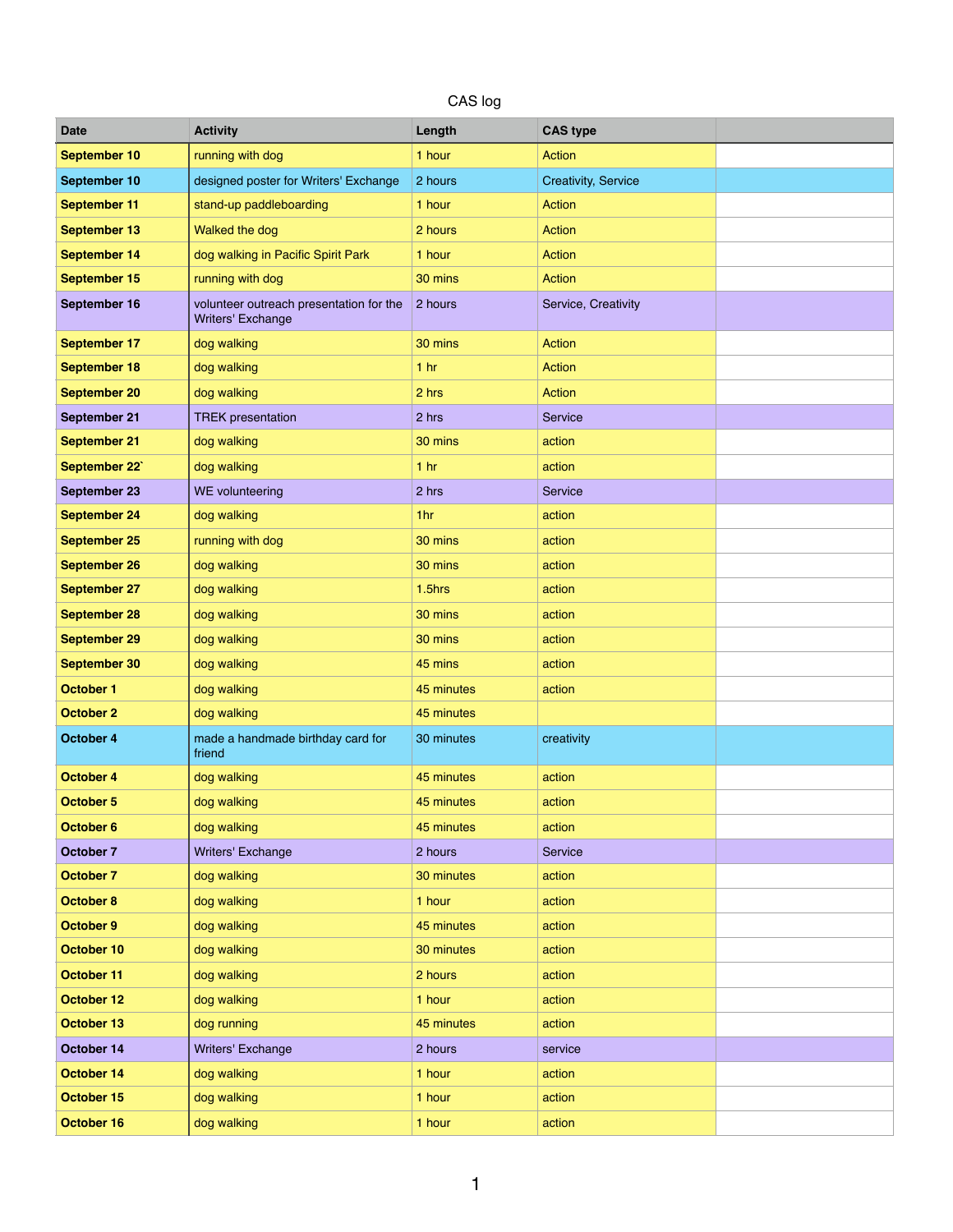## CAS log

| <b>Date</b>         | <b>Activity</b>                                              | Length          | <b>CAS type</b>            |  |
|---------------------|--------------------------------------------------------------|-----------------|----------------------------|--|
| <b>September 10</b> | running with dog                                             | 1 hour          | <b>Action</b>              |  |
| September 10        | designed poster for Writers' Exchange                        | 2 hours         | <b>Creativity, Service</b> |  |
| <b>September 11</b> | stand-up paddleboarding                                      | 1 hour          | <b>Action</b>              |  |
| <b>September 13</b> | Walked the dog                                               | 2 hours         | Action                     |  |
| <b>September 14</b> | dog walking in Pacific Spirit Park                           | 1 hour          | <b>Action</b>              |  |
| <b>September 15</b> | running with dog                                             | 30 mins         | <b>Action</b>              |  |
| September 16        | volunteer outreach presentation for the<br>Writers' Exchange | 2 hours         | Service, Creativity        |  |
| <b>September 17</b> | dog walking                                                  | 30 mins         | <b>Action</b>              |  |
| <b>September 18</b> | dog walking                                                  | 1 <sub>hr</sub> | Action                     |  |
| <b>September 20</b> | dog walking                                                  | 2 hrs           | <b>Action</b>              |  |
| <b>September 21</b> | <b>TREK</b> presentation                                     | 2 hrs           | Service                    |  |
| <b>September 21</b> | dog walking                                                  | 30 mins         | action                     |  |
| September 22        | dog walking                                                  | 1 <sub>hr</sub> | action                     |  |
| <b>September 23</b> | WE volunteering                                              | 2 hrs           | Service                    |  |
| <b>September 24</b> | dog walking                                                  | 1hr             | action                     |  |
| <b>September 25</b> | running with dog                                             | 30 mins         | action                     |  |
| <b>September 26</b> | dog walking                                                  | 30 mins         | action                     |  |
| <b>September 27</b> | dog walking                                                  | $1.5$ hrs       | action                     |  |
| <b>September 28</b> | dog walking                                                  | 30 mins         | action                     |  |
| <b>September 29</b> | dog walking                                                  | 30 mins         | action                     |  |
| <b>September 30</b> | dog walking                                                  | 45 mins         | action                     |  |
| <b>October 1</b>    | dog walking                                                  | 45 minutes      | action                     |  |
| <b>October 2</b>    | dog walking                                                  | 45 minutes      |                            |  |
| October 4           | made a handmade birthday card for<br>friend                  | 30 minutes      | creativity                 |  |
| <b>October 4</b>    | dog walking                                                  | 45 minutes      | action                     |  |
| <b>October 5</b>    | dog walking                                                  | 45 minutes      | action                     |  |
| <b>October 6</b>    | dog walking                                                  | 45 minutes      | action                     |  |
| <b>October 7</b>    | Writers' Exchange                                            | 2 hours         | Service                    |  |
| <b>October 7</b>    | dog walking                                                  | 30 minutes      | action                     |  |
| <b>October 8</b>    | dog walking                                                  | 1 hour          | action                     |  |
| October 9           | dog walking                                                  | 45 minutes      | action                     |  |
| October 10          | dog walking                                                  | 30 minutes      | action                     |  |
| <b>October 11</b>   | dog walking                                                  | 2 hours         | action                     |  |
| October 12          | dog walking                                                  | 1 hour          | action                     |  |
| October 13          | dog running                                                  | 45 minutes      | action                     |  |
| October 14          | Writers' Exchange                                            | 2 hours         | service                    |  |
| October 14          | dog walking                                                  | 1 hour          | action                     |  |
| October 15          | dog walking                                                  | 1 hour          | action                     |  |
| October 16          | dog walking                                                  | 1 hour          | action                     |  |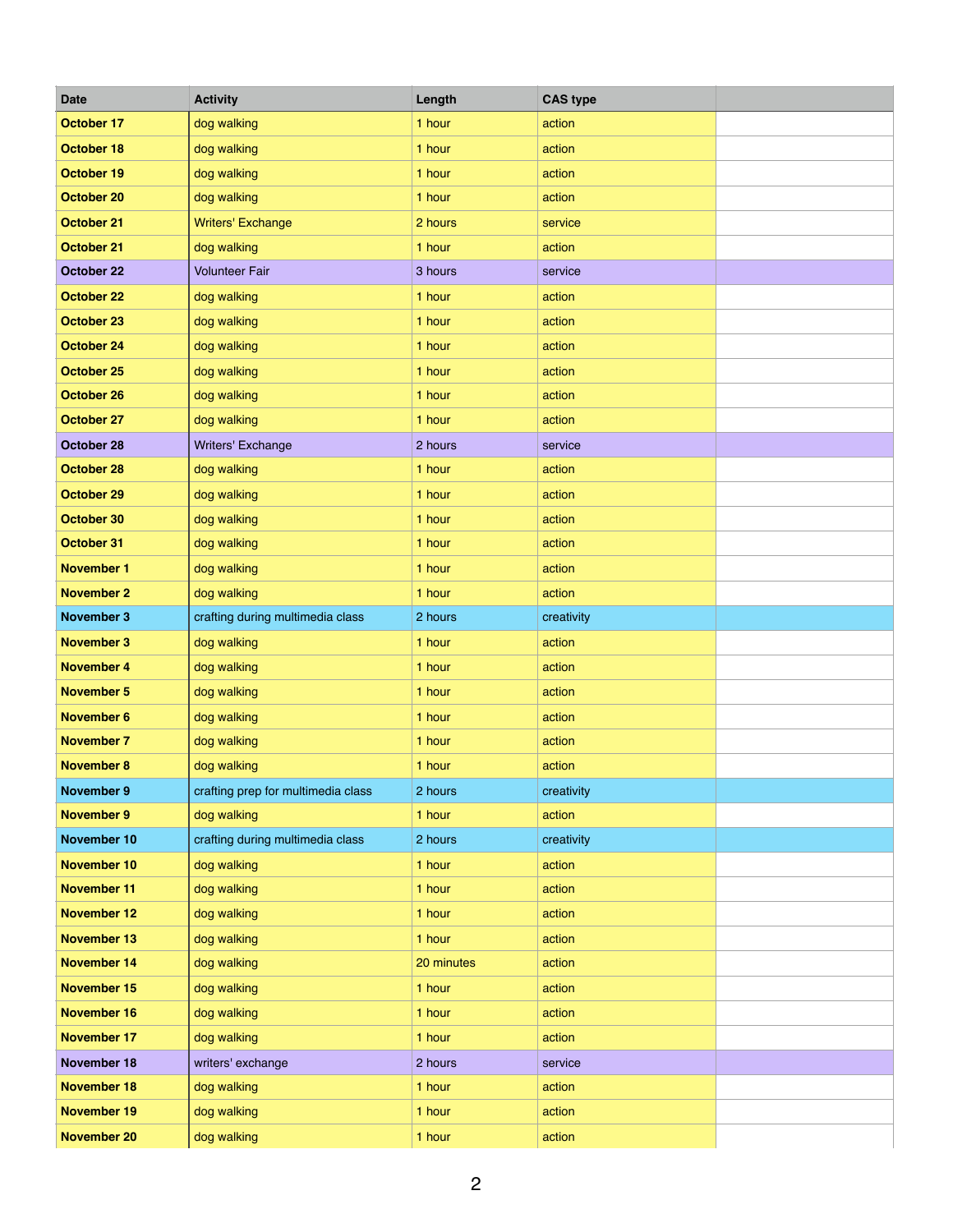| <b>Date</b>        | <b>Activity</b>                    | Length     | <b>CAS type</b> |  |
|--------------------|------------------------------------|------------|-----------------|--|
| <b>October 17</b>  | dog walking                        | 1 hour     | action          |  |
| October 18         | dog walking                        | 1 hour     | action          |  |
| October 19         | dog walking                        | 1 hour     | action          |  |
| <b>October 20</b>  | dog walking                        | 1 hour     | action          |  |
| <b>October 21</b>  | <b>Writers' Exchange</b>           | 2 hours    | service         |  |
| <b>October 21</b>  | dog walking                        | 1 hour     | action          |  |
| <b>October 22</b>  | <b>Volunteer Fair</b>              | 3 hours    | service         |  |
| <b>October 22</b>  | dog walking                        | 1 hour     | action          |  |
| <b>October 23</b>  | dog walking                        | 1 hour     | action          |  |
| <b>October 24</b>  | dog walking                        | 1 hour     | action          |  |
| <b>October 25</b>  | dog walking                        | 1 hour     | action          |  |
| <b>October 26</b>  | dog walking                        | 1 hour     | action          |  |
| <b>October 27</b>  | dog walking                        | 1 hour     | action          |  |
| October 28         | <b>Writers' Exchange</b>           | 2 hours    | service         |  |
| <b>October 28</b>  | dog walking                        | 1 hour     | action          |  |
| October 29         | dog walking                        | 1 hour     | action          |  |
| October 30         | dog walking                        | 1 hour     | action          |  |
| October 31         | dog walking                        | 1 hour     | action          |  |
| <b>November 1</b>  | dog walking                        | 1 hour     | action          |  |
| <b>November 2</b>  | dog walking                        | 1 hour     | action          |  |
| <b>November 3</b>  | crafting during multimedia class   | 2 hours    | creativity      |  |
| <b>November 3</b>  | dog walking                        | 1 hour     | action          |  |
| <b>November 4</b>  | dog walking                        | 1 hour     | action          |  |
| <b>November 5</b>  | dog walking                        | 1 hour     | action          |  |
| <b>November 6</b>  | dog walking                        | 1 hour     | action          |  |
| <b>November 7</b>  | dog walking                        | 1 hour     | action          |  |
| <b>November 8</b>  | dog walking                        | 1 hour     | action          |  |
| <b>November 9</b>  | crafting prep for multimedia class | 2 hours    | creativity      |  |
| <b>November 9</b>  | dog walking                        | 1 hour     | action          |  |
| November 10        | crafting during multimedia class   | 2 hours    | creativity      |  |
| <b>November 10</b> | dog walking                        | 1 hour     | action          |  |
| <b>November 11</b> | dog walking                        | 1 hour     | action          |  |
| <b>November 12</b> | dog walking                        | 1 hour     | action          |  |
| <b>November 13</b> | dog walking                        | 1 hour     | action          |  |
| <b>November 14</b> | dog walking                        | 20 minutes | action          |  |
| <b>November 15</b> | dog walking                        | 1 hour     | action          |  |
| <b>November 16</b> | dog walking                        | 1 hour     | action          |  |
| <b>November 17</b> | dog walking                        | 1 hour     | action          |  |
| November 18        | writers' exchange                  | 2 hours    | service         |  |
| <b>November 18</b> | dog walking                        | 1 hour     | action          |  |
| <b>November 19</b> | dog walking                        | 1 hour     | action          |  |
| <b>November 20</b> | dog walking                        | 1 hour     | action          |  |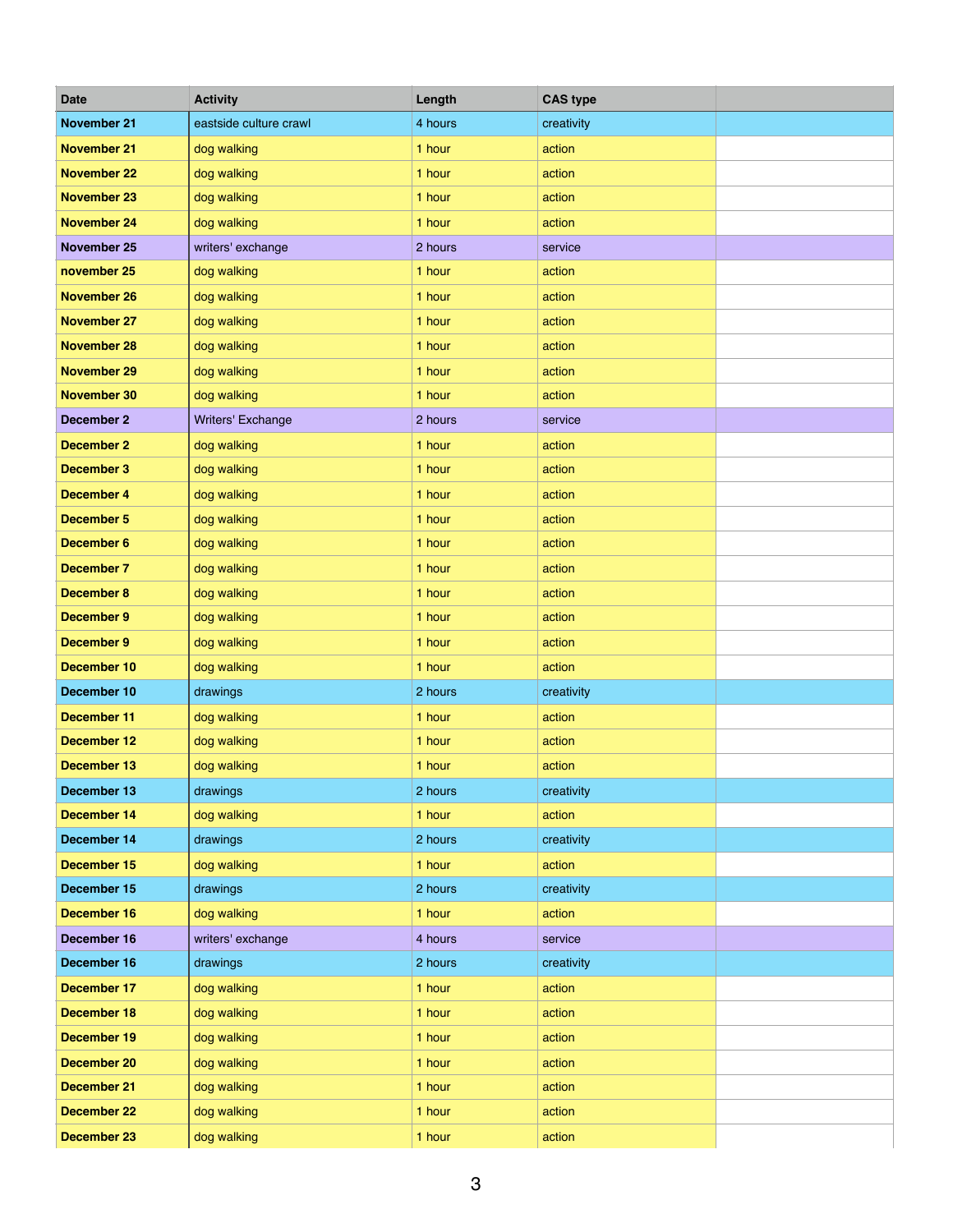| <b>Date</b>        | <b>Activity</b>        | Length  | <b>CAS type</b> |  |
|--------------------|------------------------|---------|-----------------|--|
| <b>November 21</b> | eastside culture crawl | 4 hours | creativity      |  |
| <b>November 21</b> | dog walking            | 1 hour  | action          |  |
| <b>November 22</b> | dog walking            | 1 hour  | action          |  |
| <b>November 23</b> | dog walking            | 1 hour  | action          |  |
| <b>November 24</b> | dog walking            | 1 hour  | action          |  |
| November 25        | writers' exchange      | 2 hours | service         |  |
| november 25        | dog walking            | 1 hour  | action          |  |
| <b>November 26</b> | dog walking            | 1 hour  | action          |  |
| <b>November 27</b> | dog walking            | 1 hour  | action          |  |
| <b>November 28</b> | dog walking            | 1 hour  | action          |  |
| <b>November 29</b> | dog walking            | 1 hour  | action          |  |
| <b>November 30</b> | dog walking            | 1 hour  | action          |  |
| <b>December 2</b>  | Writers' Exchange      | 2 hours | service         |  |
| <b>December 2</b>  | dog walking            | 1 hour  | action          |  |
| <b>December 3</b>  | dog walking            | 1 hour  | action          |  |
| <b>December 4</b>  | dog walking            | 1 hour  | action          |  |
| <b>December 5</b>  | dog walking            | 1 hour  | action          |  |
| <b>December 6</b>  | dog walking            | 1 hour  | action          |  |
| <b>December 7</b>  | dog walking            | 1 hour  | action          |  |
| <b>December 8</b>  | dog walking            | 1 hour  | action          |  |
| <b>December 9</b>  | dog walking            | 1 hour  | action          |  |
| <b>December 9</b>  | dog walking            | 1 hour  | action          |  |
| December 10        | dog walking            | 1 hour  | action          |  |
| December 10        | drawings               | 2 hours | creativity      |  |
| <b>December 11</b> | dog walking            | 1 hour  | action          |  |
| <b>December 12</b> | dog walking            | 1 hour  | action          |  |
| <b>December 13</b> | dog walking            | 1 hour  | action          |  |
| December 13        | drawings               | 2 hours | creativity      |  |
| December 14        | dog walking            | 1 hour  | action          |  |
| December 14        | drawings               | 2 hours | creativity      |  |
| <b>December 15</b> | dog walking            | 1 hour  | action          |  |
| December 15        | drawings               | 2 hours | creativity      |  |
| <b>December 16</b> | dog walking            | 1 hour  | action          |  |
| December 16        | writers' exchange      | 4 hours | service         |  |
| December 16        | drawings               | 2 hours | creativity      |  |
| <b>December 17</b> | dog walking            | 1 hour  | action          |  |
| <b>December 18</b> | dog walking            | 1 hour  | action          |  |
| <b>December 19</b> | dog walking            | 1 hour  | action          |  |
| <b>December 20</b> | dog walking            | 1 hour  | action          |  |
| <b>December 21</b> | dog walking            | 1 hour  | action          |  |
| <b>December 22</b> | dog walking            | 1 hour  | action          |  |
| <b>December 23</b> | dog walking            | 1 hour  | action          |  |